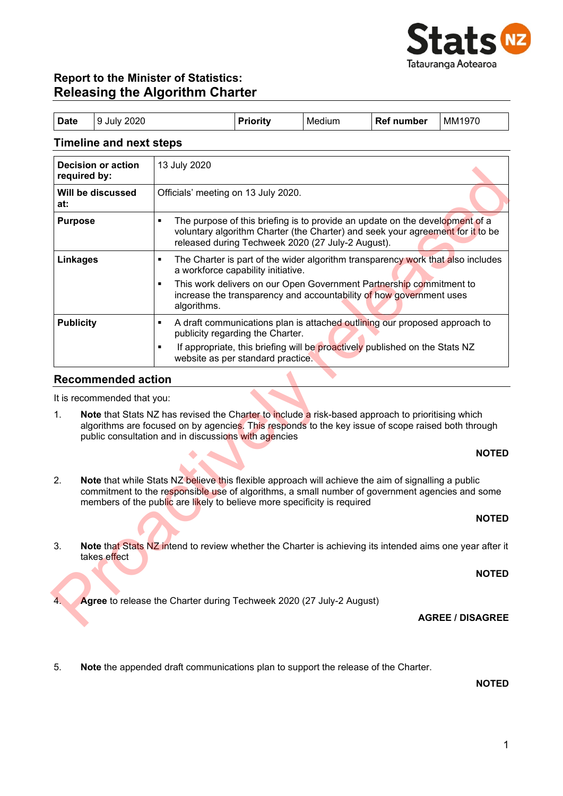

# **Report to the Minister of Statistics: Releasing the Algorithm Charter**

|  | <b>Date</b> | 9 July 2020 |  | Medium | <b>Ref number</b> | MM1970 |
|--|-------------|-------------|--|--------|-------------------|--------|
|--|-------------|-------------|--|--------|-------------------|--------|

#### **Timeline and next steps**

| <b>Decision or action</b><br>required by:                                                                                                                                                                                                                                                | 13 July 2020                                                                                                                                                                                                                          |  |  |  |  |  |  |  |
|------------------------------------------------------------------------------------------------------------------------------------------------------------------------------------------------------------------------------------------------------------------------------------------|---------------------------------------------------------------------------------------------------------------------------------------------------------------------------------------------------------------------------------------|--|--|--|--|--|--|--|
| Will be discussed<br>at:                                                                                                                                                                                                                                                                 | Officials' meeting on 13 July 2020.                                                                                                                                                                                                   |  |  |  |  |  |  |  |
| <b>Purpose</b>                                                                                                                                                                                                                                                                           | The purpose of this briefing is to provide an update on the development of a<br>$\blacksquare$<br>voluntary algorithm Charter (the Charter) and seek your agreement for it to be<br>released during Techweek 2020 (27 July-2 August). |  |  |  |  |  |  |  |
| <b>Linkages</b>                                                                                                                                                                                                                                                                          | $\blacksquare$<br>The Charter is part of the wider algorithm transparency work that also includes<br>a workforce capability initiative.                                                                                               |  |  |  |  |  |  |  |
|                                                                                                                                                                                                                                                                                          | This work delivers on our Open Government Partnership commitment to<br>$\blacksquare$<br>increase the transparency and accountability of how government uses<br>algorithms.                                                           |  |  |  |  |  |  |  |
| <b>Publicity</b>                                                                                                                                                                                                                                                                         | A draft communications plan is attached outlining our proposed approach to<br>×,<br>publicity regarding the Charter.                                                                                                                  |  |  |  |  |  |  |  |
|                                                                                                                                                                                                                                                                                          | If appropriate, this briefing will be proactively published on the Stats NZ<br>$\blacksquare$<br>website as per standard practice.                                                                                                    |  |  |  |  |  |  |  |
| <b>Recommended action</b>                                                                                                                                                                                                                                                                |                                                                                                                                                                                                                                       |  |  |  |  |  |  |  |
| It is recommended that you:                                                                                                                                                                                                                                                              |                                                                                                                                                                                                                                       |  |  |  |  |  |  |  |
| Note that Stats NZ has revised the Charter to include a risk-based approach to prioritising which<br>1 <sub>1</sub><br>algorithms are focused on by agencies. This responds to the key issue of scope raised both through<br>public consultation and in discussions with agencies        |                                                                                                                                                                                                                                       |  |  |  |  |  |  |  |
|                                                                                                                                                                                                                                                                                          |                                                                                                                                                                                                                                       |  |  |  |  |  |  |  |
| 2.<br>Note that while Stats NZ believe this flexible approach will achieve the aim of signalling a public<br>commitment to the responsible use of algorithms, a small number of government agencies and some<br>members of the public are likely to believe more specificity is required |                                                                                                                                                                                                                                       |  |  |  |  |  |  |  |
| <b>NOTED</b>                                                                                                                                                                                                                                                                             |                                                                                                                                                                                                                                       |  |  |  |  |  |  |  |
| 3.<br>takes effect                                                                                                                                                                                                                                                                       | Note that Stats NZ intend to review whether the Charter is achieving its intended aims one year after it                                                                                                                              |  |  |  |  |  |  |  |
|                                                                                                                                                                                                                                                                                          | <b>NOTED</b>                                                                                                                                                                                                                          |  |  |  |  |  |  |  |
| 4.                                                                                                                                                                                                                                                                                       | Agree to release the Charter during Techweek 2020 (27 July-2 August)                                                                                                                                                                  |  |  |  |  |  |  |  |
|                                                                                                                                                                                                                                                                                          | <b>AGREE / DISAGREE</b>                                                                                                                                                                                                               |  |  |  |  |  |  |  |

#### **Recommended action**

#### **NOTED**

#### **NOTED**

5. **Note** the appended draft communications plan to support the release of the Charter.

**NOTED**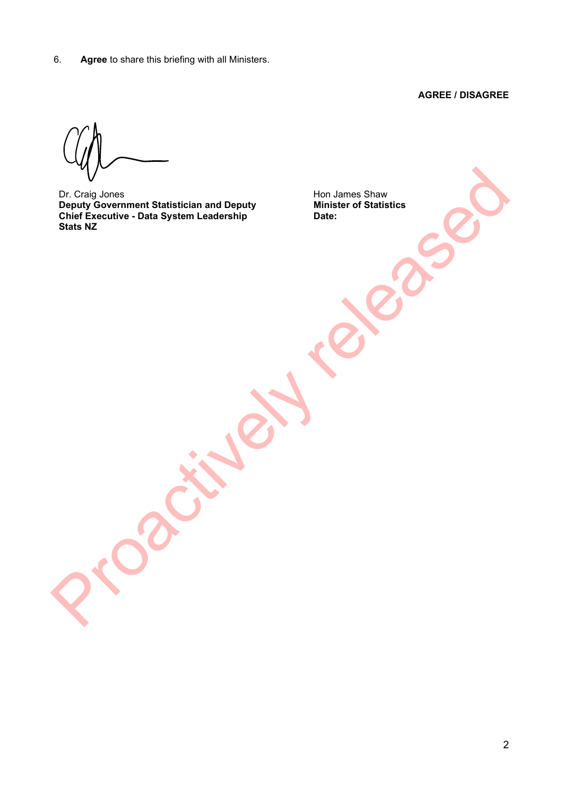6. **Agree** to share this briefing with all Ministers.

**AGREE / DISAGREE**

Dr. Craig Jones **Hon James Shaw Deputy Government Statistician and Deputy Chief Executive - Data System Leadership Stats NZ** Procedure Content Statistician and Deputy<br>
Deputy Government Statistician and Deputy<br>
Chief Executive - Data System Leadership<br>
State R2<br>
Chief Executive - Data System Leadership<br>
Deputy<br>
Chief Content Chief Statistics<br>
Ch

**Minister of Statistics Date:**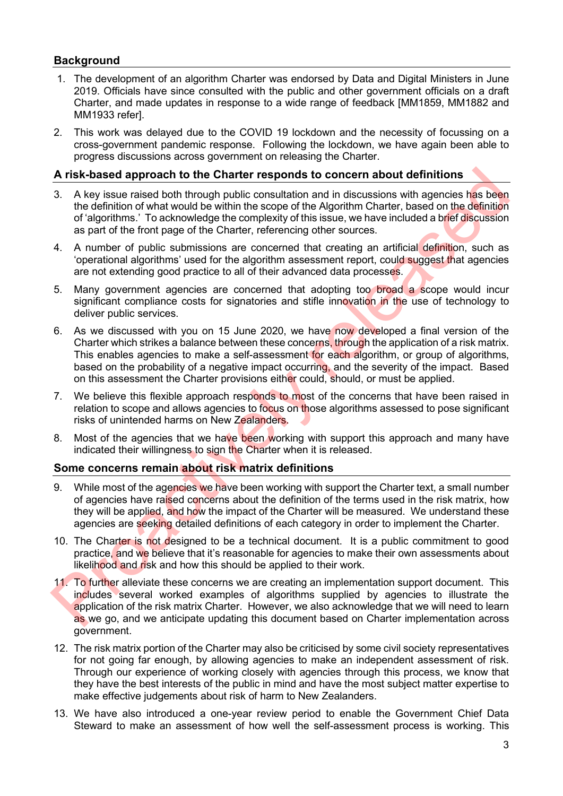# **Background**

- 1. The development of an algorithm Charter was endorsed by Data and Digital Ministers in June 2019. Officials have since consulted with the public and other government officials on a draft Charter, and made updates in response to a wide range of feedback [MM1859, MM1882 and MM1933 refer].
- 2. This work was delayed due to the COVID 19 lockdown and the necessity of focussing on a cross-government pandemic response. Following the lockdown, we have again been able to progress discussions across government on releasing the Charter.

## **A risk-based approach to the Charter responds to concern about definitions**

- 3. A key issue raised both through public consultation and in discussions with agencies has been the definition of what would be within the scope of the Algorithm Charter, based on the definition of 'algorithms.' To acknowledge the complexity of this issue, we have included a brief discussion as part of the front page of the Charter, referencing other sources.
- 4. A number of public submissions are concerned that creating an artificial definition, such as 'operational algorithms' used for the algorithm assessment report, could suggest that agencies are not extending good practice to all of their advanced data processes.
- 5. Many government agencies are concerned that adopting too broad a scope would incur significant compliance costs for signatories and stifle innovation in the use of technology to deliver public services.
- 6. As we discussed with you on 15 June 2020, we have now developed a final version of the Charter which strikes a balance between these concerns, through the application of a risk matrix. This enables agencies to make a self-assessment for each algorithm, or group of algorithms, based on the probability of a negative impact occurring, and the severity of the impact. Based on this assessment the Charter provisions either could, should, or must be applied. **A risk-based approach to the Charter responds to concern about definitions**<br>
3. A key issue raised both through public consultation and indicates one for the disposition of what would be within the scope of the Algorithm
- 7. We believe this flexible approach responds to most of the concerns that have been raised in relation to scope and allows agencies to focus on those algorithms assessed to pose significant risks of unintended harms on New Zealanders.
- 8. Most of the agencies that we have been working with support this approach and many have indicated their willingness to sign the Charter when it is released.

#### **Some concerns remain about risk matrix definitions**

- 9. While most of the agencies we have been working with support the Charter text, a small number of agencies have raised concerns about the definition of the terms used in the risk matrix, how they will be applied, and how the impact of the Charter will be measured. We understand these agencies are seeking detailed definitions of each category in order to implement the Charter.
- 10. The Charter is not designed to be a technical document. It is a public commitment to good practice, and we believe that it's reasonable for agencies to make their own assessments about likelihood and risk and how this should be applied to their work.
- 11. To further alleviate these concerns we are creating an implementation support document. This includes several worked examples of algorithms supplied by agencies to illustrate the application of the risk matrix Charter. However, we also acknowledge that we will need to learn as we go, and we anticipate updating this document based on Charter implementation across government.
- 12. The risk matrix portion of the Charter may also be criticised by some civil society representatives for not going far enough, by allowing agencies to make an independent assessment of risk. Through our experience of working closely with agencies through this process, we know that they have the best interests of the public in mind and have the most subject matter expertise to make effective judgements about risk of harm to New Zealanders.
- 13. We have also introduced a one-year review period to enable the Government Chief Data Steward to make an assessment of how well the self-assessment process is working. This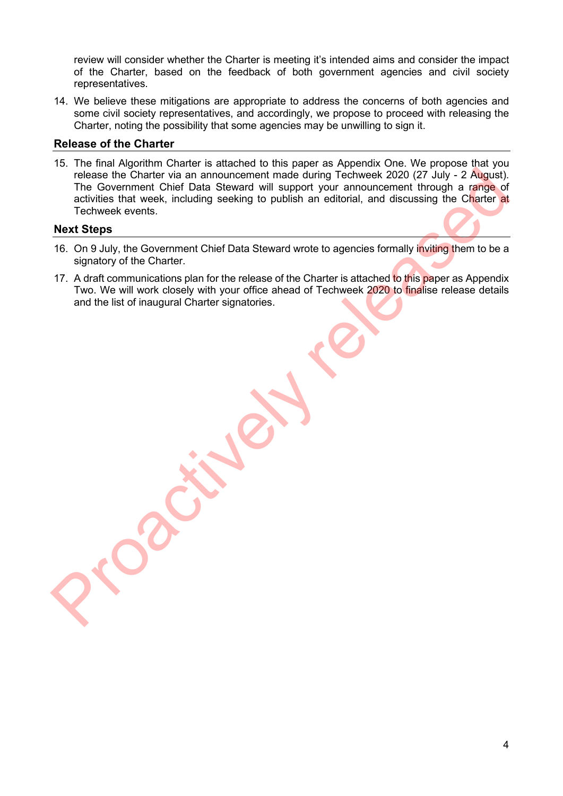review will consider whether the Charter is meeting it's intended aims and consider the impact of the Charter, based on the feedback of both government agencies and civil society representatives.

14. We believe these mitigations are appropriate to address the concerns of both agencies and some civil society representatives, and accordingly, we propose to proceed with releasing the Charter, noting the possibility that some agencies may be unwilling to sign it.

#### **Release of the Charter**

15. The final Algorithm Charter is attached to this paper as Appendix One. We propose that you release the Charter via an announcement made during Techweek 2020 (27 July - 2 August). The Government Chief Data Steward will support your announcement through a range of activities that week, including seeking to publish an editorial, and discussing the Charter at Techweek events. release the Charler via an announcement made during Technolet 2000 (27. July - 2 August)<br>The Government Chief Data Steward will support your amouncement through a range of<br>activities that week, including seeking to publish

#### **Next Steps**

- 16. On 9 July, the Government Chief Data Steward wrote to agencies formally inviting them to be a signatory of the Charter.
- 17. A draft communications plan for the release of the Charter is attached to this paper as Appendix Two. We will work closely with your office ahead of Techweek 2020 to finalise release details and the list of inaugural Charter signatories.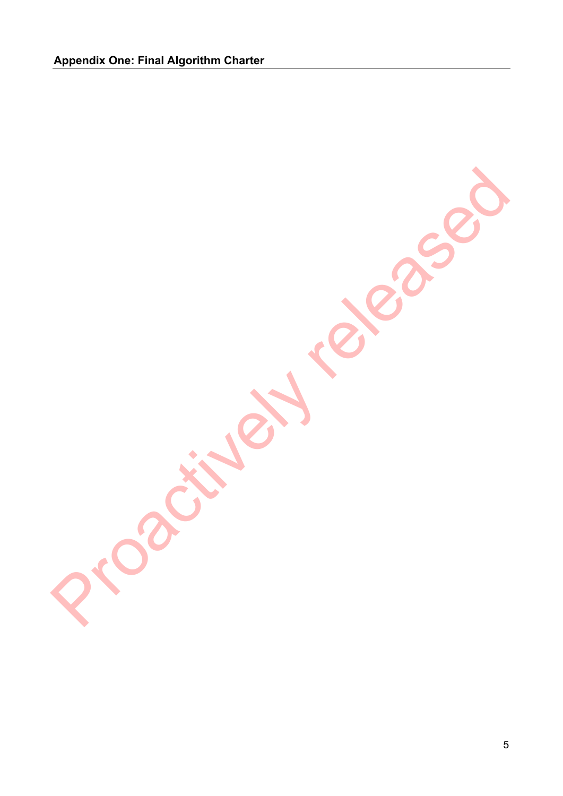**Processed Religionships**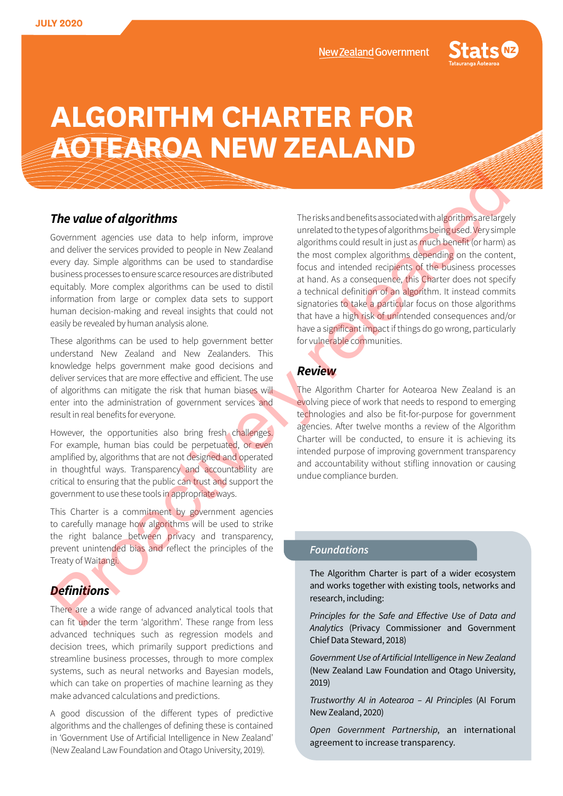

# **ALGORITHM CHARTER FOR AOTEAROA NEW ZEALAND**

## *The value of algorithms*

Government agencies use data to help inform, improve and deliver the services provided to people in New Zealand every day. Simple algorithms can be used to standardise business processes to ensure scarce resources are distributed equitably. More complex algorithms can be used to distil information from large or complex data sets to support human decision-making and reveal insights that could not easily be revealed by human analysis alone.

These algorithms can be used to help government better understand New Zealand and New Zealanders. This knowledge helps government make good decisions and deliver services that are more effective and efficient. The use of algorithms can mitigate the risk that human biases will enter into the administration of government services and result in real benefits for everyone.

However, the opportunities also bring fresh challenges. For example, human bias could be perpetuated, or even amplified by, algorithms that are not designed and operated in thoughtful ways. Transparency and accountability are critical to ensuring that the public can trust and support the government to use these tools in appropriate ways.

This Charter is a commitment by government agencies to carefully manage how algorithms will be used to strike the right balance between privacy and transparency, prevent unintended bias and reflect the principles of the Treaty of Waitangi.

# *Definitions*

There are a wide range of advanced analytical tools that can fit under the term 'algorithm'. These range from less advanced techniques such as regression models and decision trees, which primarily support predictions and streamline business processes, through to more complex systems, such as neural networks and Bayesian models, which can take on properties of machine learning as they make advanced calculations and predictions.

A good discussion of the different types of predictive algorithms and the challenges of defining these is contained in 'Government Use of Artificial Intelligence in New Zealand' (New Zealand Law Foundation and Otago University, 2019).

The risks and benefits associated with algorithms are largely unrelated to the types of algorithms being used. Very simple algorithms could result in just as much benefit (or harm) as the most complex algorithms depending on the content, focus and intended recipients of the business processes at hand. As a consequence, this Charter does not specify a technical definition of an algorithm. It instead commits signatories to take a particular focus on those algorithms that have a high risk of unintended consequences and/or have a significant impact if things do go wrong, particularly for vulnerable communities. The value of algorithms<br>
The value of algorithms<br>
Covernment agencies use data to help inform improve<br>
Covernment agencies use data to help inform improve<br>
coverage distribution could could could could contain a stress of

# *Review*

The Algorithm Charter for Aotearoa New Zealand is an evolving piece of work that needs to respond to emerging technologies and also be fit-for-purpose for government agencies. After twelve months a review of the Algorithm Charter will be conducted, to ensure it is achieving its intended purpose of improving government transparency and accountability without stifling innovation or causing undue compliance burden.

#### *Foundations*

The Algorithm Charter is part of a wider ecosystem and works together with existing tools, networks and research, including:

*Principles for the Safe and Effective Use of Data and Analytics* (Privacy Commissioner and Government Chief Data Steward, 2018)

*Government Use of Artificial Intelligence in New Zealand* (New Zealand Law Foundation and Otago University, 2019)

*Trustworthy AI in Aotearoa – AI Principles* (AI Forum New Zealand, 2020)

*Open Government Partnership*, an international agreement to increase transparency.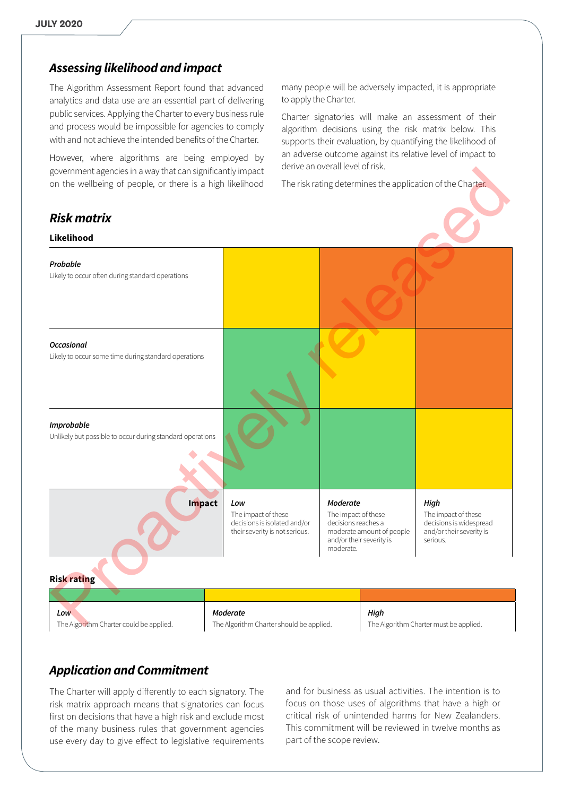# *Assessing likelihood and impact*

The Algorithm Assessment Report found that advanced analytics and data use are an essential part of delivering public services. Applying the Charter to every business rule and process would be impossible for agencies to comply with and not achieve the intended benefits of the Charter.

However, where algorithms are being employed by government agencies in a way that can significantly impact on the wellbeing of people, or there is a high likelihood

# *Risk matrix*

many people will be adversely impacted, it is appropriate to apply the Charter.

Charter signatories will make an assessment of their algorithm decisions using the risk matrix below. This supports their evaluation, by quantifying the likelihood of an adverse outcome against its relative level of impact to derive an overall level of risk.

| government agencies in a way that can significantly impact<br>on the wellbeing of people, or there is a high likelihood |                                                                                              | <u>UCITIVE QIT OVET QILIEVEL OF ITSN.</u>                                                       |                           | The risk rating determines the application of the Charter.                                     |
|-------------------------------------------------------------------------------------------------------------------------|----------------------------------------------------------------------------------------------|-------------------------------------------------------------------------------------------------|---------------------------|------------------------------------------------------------------------------------------------|
| <b>Risk matrix</b>                                                                                                      |                                                                                              |                                                                                                 |                           |                                                                                                |
| Likelihood                                                                                                              |                                                                                              |                                                                                                 |                           |                                                                                                |
| Probable<br>Likely to occur often during standard operations                                                            |                                                                                              |                                                                                                 |                           |                                                                                                |
| <b>Occasional</b><br>Likely to occur some time during standard operations                                               |                                                                                              |                                                                                                 |                           |                                                                                                |
| Improbable<br>Unlikely but possible to occur during standard operations                                                 |                                                                                              |                                                                                                 |                           |                                                                                                |
| Impact                                                                                                                  | Low<br>The impact of these<br>decisions is isolated and/or<br>their severity is not serious. | Moderate<br>The impact of these<br>decisions reaches a<br>and/or their severity is<br>moderate. | moderate amount of people | High<br>The impact of these<br>decisions is widespread<br>and/or their severity is<br>serious. |
| <b>Risk rating</b>                                                                                                      |                                                                                              |                                                                                                 |                           |                                                                                                |
|                                                                                                                         |                                                                                              |                                                                                                 |                           |                                                                                                |
| Low<br>The Algorithm Charter could be applied.                                                                          | Moderate<br>The Algorithm Charter should be applied.                                         |                                                                                                 | High                      | The Algorithm Charter must be applied.                                                         |

# *Application and Commitment*

The Charter will apply differently to each signatory. The risk matrix approach means that signatories can focus first on decisions that have a high risk and exclude most of the many business rules that government agencies use every day to give effect to legislative requirements

and for business as usual activities. The intention is to focus on those uses of algorithms that have a high or critical risk of unintended harms for New Zealanders. This commitment will be reviewed in twelve months as part of the scope review.